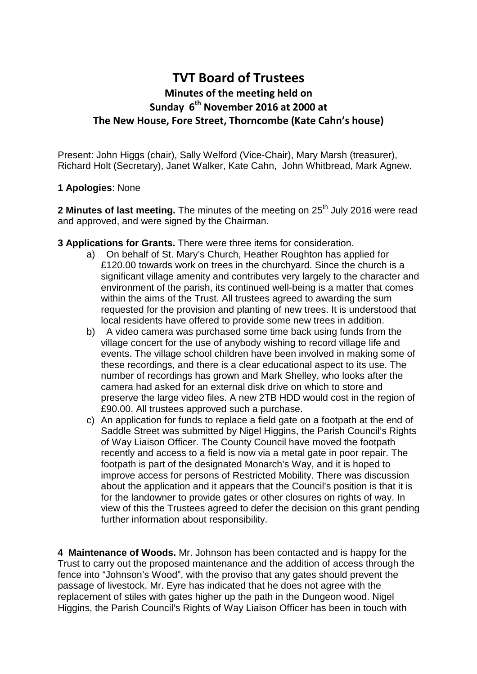## **TVT Board of Trustees Minutes of the meeting held on Sunday 6th November 2016 at 2000 at The New House, Fore Street, Thorncombe (Kate Cahn's house)**

Present: John Higgs (chair), Sally Welford (Vice-Chair), Mary Marsh (treasurer), Richard Holt (Secretary), Janet Walker, Kate Cahn, John Whitbread, Mark Agnew.

## **1 Apologies**: None

**2 Minutes of last meeting.** The minutes of the meeting on 25<sup>th</sup> July 2016 were read and approved, and were signed by the Chairman.

- **3 Applications for Grants.** There were three items for consideration.
	- a) On behalf of St. Mary's Church, Heather Roughton has applied for £120.00 towards work on trees in the churchyard. Since the church is a significant village amenity and contributes very largely to the character and environment of the parish, its continued well-being is a matter that comes within the aims of the Trust. All trustees agreed to awarding the sum requested for the provision and planting of new trees. It is understood that local residents have offered to provide some new trees in addition.
	- b) A video camera was purchased some time back using funds from the village concert for the use of anybody wishing to record village life and events. The village school children have been involved in making some of these recordings, and there is a clear educational aspect to its use. The number of recordings has grown and Mark Shelley, who looks after the camera had asked for an external disk drive on which to store and preserve the large video files. A new 2TB HDD would cost in the region of £90.00. All trustees approved such a purchase.
	- c) An application for funds to replace a field gate on a footpath at the end of Saddle Street was submitted by Nigel Higgins, the Parish Council's Rights of Way Liaison Officer. The County Council have moved the footpath recently and access to a field is now via a metal gate in poor repair. The footpath is part of the designated Monarch's Way, and it is hoped to improve access for persons of Restricted Mobility. There was discussion about the application and it appears that the Council's position is that it is for the landowner to provide gates or other closures on rights of way. In view of this the Trustees agreed to defer the decision on this grant pending further information about responsibility.

**4 Maintenance of Woods.** Mr. Johnson has been contacted and is happy for the Trust to carry out the proposed maintenance and the addition of access through the fence into "Johnson's Wood", with the proviso that any gates should prevent the passage of livestock. Mr. Eyre has indicated that he does not agree with the replacement of stiles with gates higher up the path in the Dungeon wood. Nigel Higgins, the Parish Council's Rights of Way Liaison Officer has been in touch with